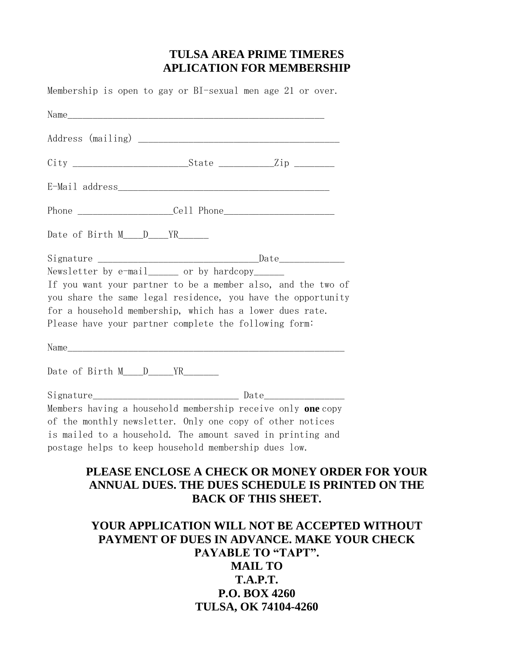## **TULSA AREA PRIME TIMERES APLICATION FOR MEMBERSHIP**

Membership is open to gay or BI-sexual men age 21 or over. Name Address (mailing) \_\_\_\_\_\_\_\_\_\_\_\_\_\_\_\_\_\_\_\_\_\_\_\_\_\_\_\_\_\_\_\_\_\_\_\_\_\_\_\_ City \_\_\_\_\_\_\_\_\_\_\_\_\_\_\_\_\_\_\_\_\_\_\_State \_\_\_\_\_\_\_\_\_\_\_Zip \_\_\_\_\_\_\_\_ E-Mail address\_\_\_\_\_\_\_\_\_\_\_\_\_\_\_\_\_\_\_\_\_\_\_\_\_\_\_\_\_\_\_\_\_\_\_\_\_\_\_\_\_\_ Phone \_\_\_\_\_\_\_\_\_\_\_\_\_\_\_\_\_\_\_Cell Phone\_\_\_\_\_\_\_\_\_\_\_\_\_\_\_\_\_\_\_\_\_\_ Date of Birth M\_\_\_\_D\_\_\_\_YR\_\_\_\_\_\_\_\_  $\text{Signature} \begin{tabular}{c} \hline \texttt{Signature} \end{tabular}$ Newsletter by  $e$ -mail or by hardcopy If you want your partner to be a member also, and the two of you share the same legal residence, you have the opportunity for a household membership, which has a lower dues rate. Please have your partner complete the following form: Name\_\_\_\_\_\_\_\_\_\_\_\_\_\_\_\_\_\_\_\_\_\_\_\_\_\_\_\_\_\_\_\_\_\_\_\_\_\_\_\_\_\_\_\_\_\_\_\_\_\_\_\_\_\_\_ Date of Birth M\_\_\_\_D\_\_\_\_\_YR\_\_\_\_\_\_\_ Signature\_\_\_\_\_\_\_\_\_\_\_\_\_\_\_\_\_\_\_\_\_\_\_\_\_\_\_\_\_ Date\_\_\_\_\_\_\_\_\_\_\_\_\_\_\_\_ Members having a household membership receive only **one** copy of the monthly newsletter. Only one copy of other notices is mailed to a household. The amount saved in printing and postage helps to keep household membership dues low. **PLEASE ENCLOSE A CHECK OR MONEY ORDER FOR YOUR ANNUAL DUES. THE DUES SCHEDULE IS PRINTED ON THE BACK OF THIS SHEET.**

# **YOUR APPLICATION WILL NOT BE ACCEPTED WITHOUT PAYMENT OF DUES IN ADVANCE. MAKE YOUR CHECK PAYABLE TO "TAPT". MAIL TO T.A.P.T. P.O. BOX 4260 TULSA, OK 74104-4260**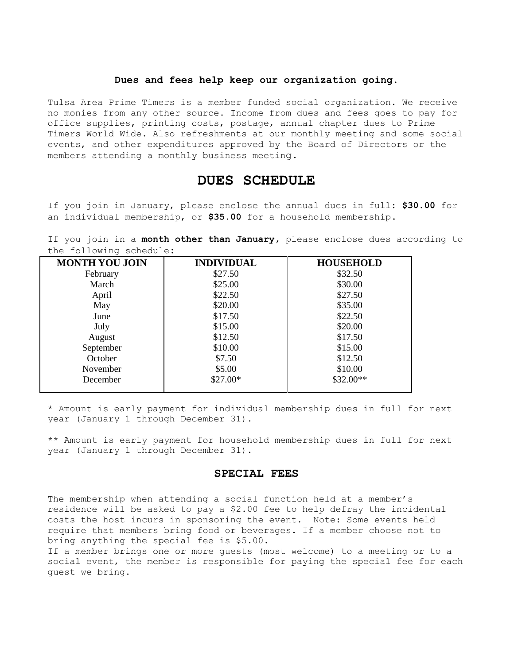### **Dues and fees help keep our organization going.**

Tulsa Area Prime Timers is a member funded social organization. We receive no monies from any other source. Income from dues and fees goes to pay for office supplies, printing costs, postage, annual chapter dues to Prime Timers World Wide. Also refreshments at our monthly meeting and some social events, and other expenditures approved by the Board of Directors or the members attending a monthly business meeting.

## **DUES SCHEDULE**

If you join in January, please enclose the annual dues in full: **\$30.00** for an individual membership, or **\$35.00** for a household membership.

If you join in a **month other than January,** please enclose dues according to the following schedule:

| <b>MONTH YOU JOIN</b> | <b>INDIVIDUAL</b> | <b>HOUSEHOLD</b> |
|-----------------------|-------------------|------------------|
| February              | \$27.50           | \$32.50          |
| March                 | \$25.00           | \$30.00          |
| April                 | \$22.50           | \$27.50          |
| May                   | \$20.00           | \$35.00          |
| June                  | \$17.50           | \$22.50          |
| July                  | \$15.00           | \$20.00          |
| August                | \$12.50           | \$17.50          |
| September             | \$10.00           | \$15.00          |
| October               | \$7.50            | \$12.50          |
| November              | \$5.00            | \$10.00          |
| December              | \$27.00*          | $$32.00**$       |

\* Amount is early payment for individual membership dues in full for next year (January 1 through December 31).

\*\* Amount is early payment for household membership dues in full for next year (January 1 through December 31).

### **SPECIAL FEES**

The membership when attending a social function held at a member's residence will be asked to pay a \$2.00 fee to help defray the incidental costs the host incurs in sponsoring the event. Note: Some events held require that members bring food or beverages. If a member choose not to bring anything the special fee is \$5.00.

If a member brings one or more guests (most welcome) to a meeting or to a social event, the member is responsible for paying the special fee for each guest we bring.